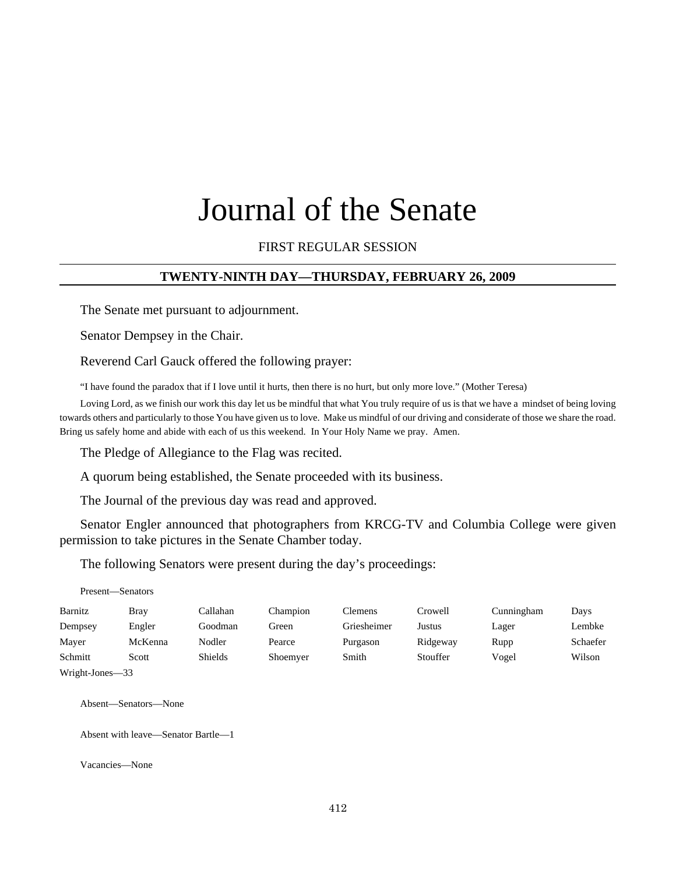# Journal of the Senate

# FIRST REGULAR SESSION

# **TWENTY-NINTH DAY—THURSDAY, FEBRUARY 26, 2009**

The Senate met pursuant to adjournment.

Senator Dempsey in the Chair.

Reverend Carl Gauck offered the following prayer:

"I have found the paradox that if I love until it hurts, then there is no hurt, but only more love." (Mother Teresa)

Loving Lord, as we finish our work this day let us be mindful that what You truly require of us is that we have a mindset of being loving towards others and particularly to those You have given us to love. Make us mindful of our driving and considerate of those we share the road. Bring us safely home and abide with each of us this weekend. In Your Holy Name we pray. Amen.

The Pledge of Allegiance to the Flag was recited.

A quorum being established, the Senate proceeded with its business.

The Journal of the previous day was read and approved.

Senator Engler announced that photographers from KRCG-TV and Columbia College were given permission to take pictures in the Senate Chamber today.

The following Senators were present during the day's proceedings:

|                 | Present—Senators |                |          |             |          |            |          |
|-----------------|------------------|----------------|----------|-------------|----------|------------|----------|
| Barnitz         | <b>Bray</b>      | Callahan       | Champion | Clemens     | Crowell  | Cunningham | Days     |
| Dempsey         | Engler           | Goodman        | Green    | Griesheimer | Justus   | Lager      | Lembke   |
| Mayer           | McKenna          | Nodler         | Pearce   | Purgason    | Ridgeway | Rupp       | Schaefer |
| Schmitt         | Scott            | <b>Shields</b> | Shoemyer | Smith       | Stouffer | Vogel      | Wilson   |
| Wright-Jones-33 |                  |                |          |             |          |            |          |

Absent—Senators—None

Absent with leave—Senator Bartle—1

Vacancies—None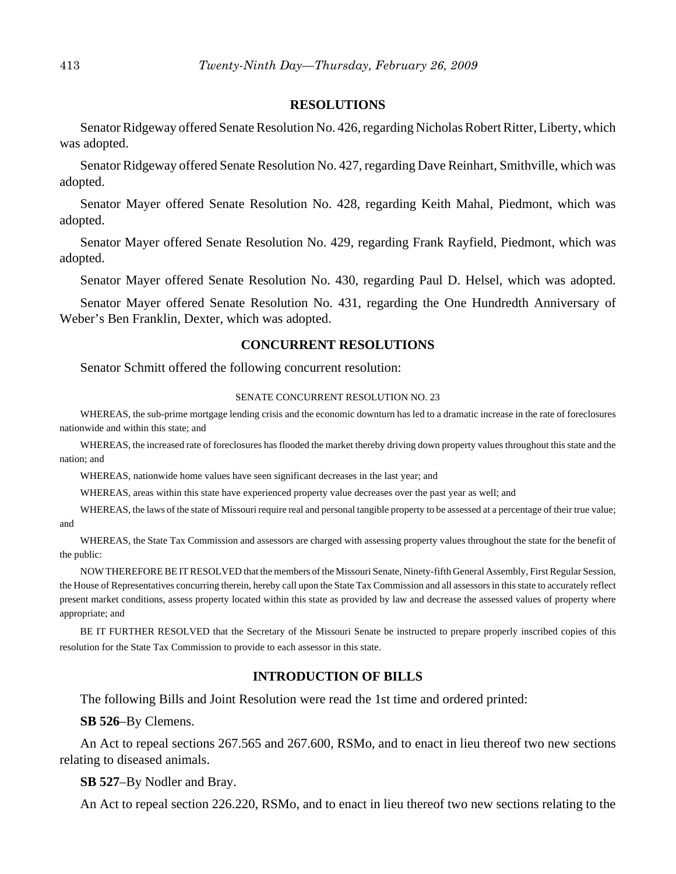#### **RESOLUTIONS**

Senator Ridgeway offered Senate Resolution No. 426, regarding Nicholas Robert Ritter, Liberty, which was adopted.

Senator Ridgeway offered Senate Resolution No. 427, regarding Dave Reinhart, Smithville, which was adopted.

Senator Mayer offered Senate Resolution No. 428, regarding Keith Mahal, Piedmont, which was adopted.

Senator Mayer offered Senate Resolution No. 429, regarding Frank Rayfield, Piedmont, which was adopted.

Senator Mayer offered Senate Resolution No. 430, regarding Paul D. Helsel, which was adopted.

Senator Mayer offered Senate Resolution No. 431, regarding the One Hundredth Anniversary of Weber's Ben Franklin, Dexter, which was adopted.

## **CONCURRENT RESOLUTIONS**

Senator Schmitt offered the following concurrent resolution:

#### SENATE CONCURRENT RESOLUTION NO. 23

WHEREAS, the sub-prime mortgage lending crisis and the economic downturn has led to a dramatic increase in the rate of foreclosures nationwide and within this state; and

WHEREAS, the increased rate of foreclosures has flooded the market thereby driving down property values throughout this state and the nation; and

WHEREAS, nationwide home values have seen significant decreases in the last year; and

WHEREAS, areas within this state have experienced property value decreases over the past year as well; and

WHEREAS, the laws of the state of Missouri require real and personal tangible property to be assessed at a percentage of their true value; and

WHEREAS, the State Tax Commission and assessors are charged with assessing property values throughout the state for the benefit of the public:

NOW THEREFORE BE IT RESOLVED that the members of the Missouri Senate, Ninety-fifth General Assembly, First Regular Session, the House of Representatives concurring therein, hereby call upon the State Tax Commission and all assessors in this state to accurately reflect present market conditions, assess property located within this state as provided by law and decrease the assessed values of property where appropriate; and

BE IT FURTHER RESOLVED that the Secretary of the Missouri Senate be instructed to prepare properly inscribed copies of this resolution for the State Tax Commission to provide to each assessor in this state.

#### **INTRODUCTION OF BILLS**

The following Bills and Joint Resolution were read the 1st time and ordered printed:

**SB 526**–By Clemens.

An Act to repeal sections 267.565 and 267.600, RSMo, and to enact in lieu thereof two new sections relating to diseased animals.

#### **SB 527**–By Nodler and Bray.

An Act to repeal section 226.220, RSMo, and to enact in lieu thereof two new sections relating to the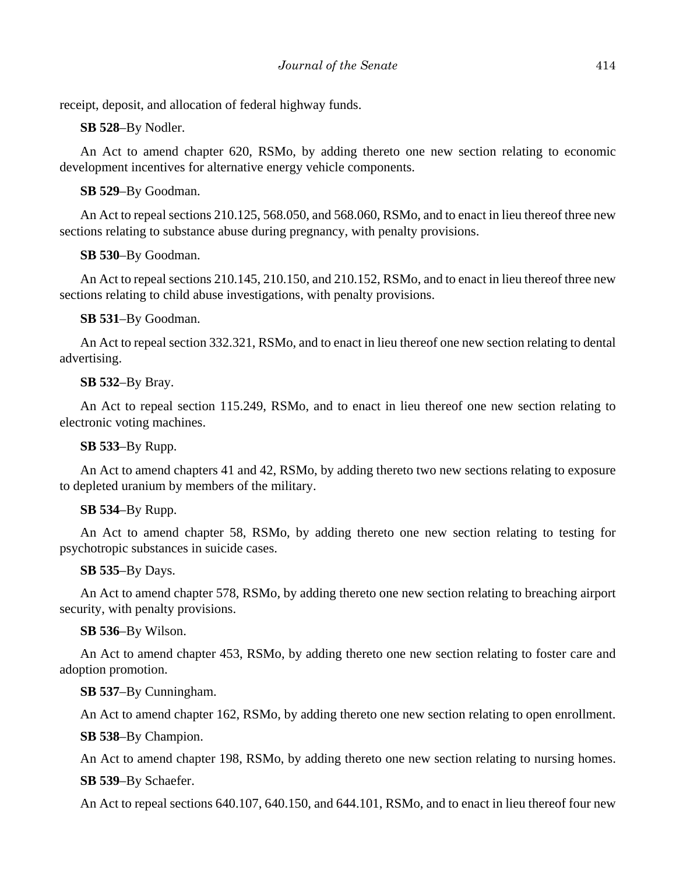receipt, deposit, and allocation of federal highway funds.

**SB 528**–By Nodler.

An Act to amend chapter 620, RSMo, by adding thereto one new section relating to economic development incentives for alternative energy vehicle components.

**SB 529**–By Goodman.

An Act to repeal sections 210.125, 568.050, and 568.060, RSMo, and to enact in lieu thereof three new sections relating to substance abuse during pregnancy, with penalty provisions.

**SB 530**–By Goodman.

An Act to repeal sections 210.145, 210.150, and 210.152, RSMo, and to enact in lieu thereof three new sections relating to child abuse investigations, with penalty provisions.

**SB 531**–By Goodman.

An Act to repeal section 332.321, RSMo, and to enact in lieu thereof one new section relating to dental advertising.

**SB 532**–By Bray.

An Act to repeal section 115.249, RSMo, and to enact in lieu thereof one new section relating to electronic voting machines.

**SB 533**–By Rupp.

An Act to amend chapters 41 and 42, RSMo, by adding thereto two new sections relating to exposure to depleted uranium by members of the military.

## **SB 534**–By Rupp.

An Act to amend chapter 58, RSMo, by adding thereto one new section relating to testing for psychotropic substances in suicide cases.

**SB 535**–By Days.

An Act to amend chapter 578, RSMo, by adding thereto one new section relating to breaching airport security, with penalty provisions.

**SB 536**–By Wilson.

An Act to amend chapter 453, RSMo, by adding thereto one new section relating to foster care and adoption promotion.

**SB 537**–By Cunningham.

An Act to amend chapter 162, RSMo, by adding thereto one new section relating to open enrollment.

**SB 538**–By Champion.

An Act to amend chapter 198, RSMo, by adding thereto one new section relating to nursing homes.

**SB 539**–By Schaefer.

An Act to repeal sections 640.107, 640.150, and 644.101, RSMo, and to enact in lieu thereof four new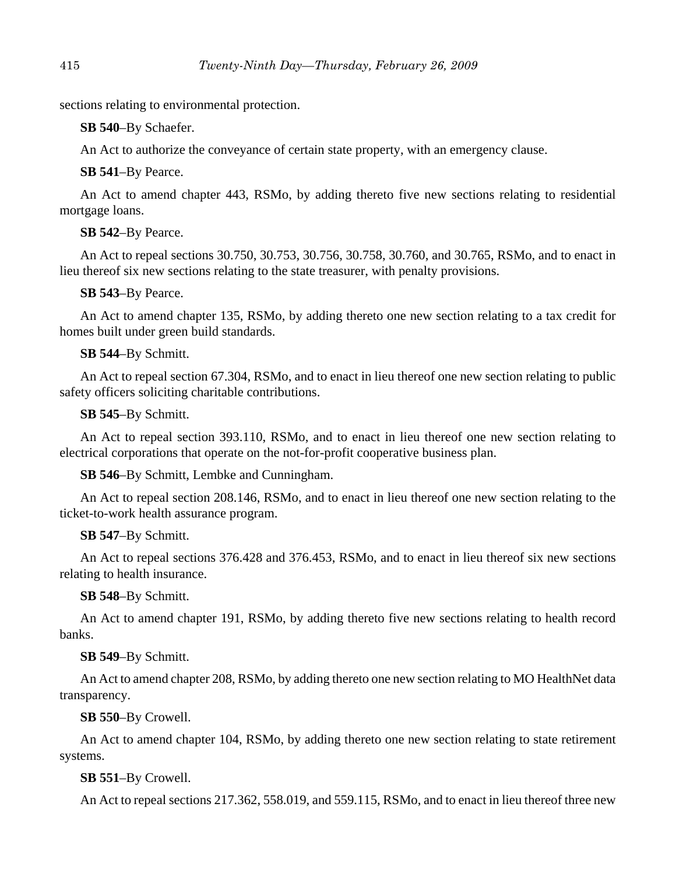sections relating to environmental protection.

**SB 540**–By Schaefer.

An Act to authorize the conveyance of certain state property, with an emergency clause.

# **SB 541**–By Pearce.

An Act to amend chapter 443, RSMo, by adding thereto five new sections relating to residential mortgage loans.

# **SB 542**–By Pearce.

An Act to repeal sections 30.750, 30.753, 30.756, 30.758, 30.760, and 30.765, RSMo, and to enact in lieu thereof six new sections relating to the state treasurer, with penalty provisions.

# **SB 543**–By Pearce.

An Act to amend chapter 135, RSMo, by adding thereto one new section relating to a tax credit for homes built under green build standards.

# **SB 544**–By Schmitt.

An Act to repeal section 67.304, RSMo, and to enact in lieu thereof one new section relating to public safety officers soliciting charitable contributions.

# **SB 545**–By Schmitt.

An Act to repeal section 393.110, RSMo, and to enact in lieu thereof one new section relating to electrical corporations that operate on the not-for-profit cooperative business plan.

# **SB 546**–By Schmitt, Lembke and Cunningham.

An Act to repeal section 208.146, RSMo, and to enact in lieu thereof one new section relating to the ticket-to-work health assurance program.

# **SB 547**–By Schmitt.

An Act to repeal sections 376.428 and 376.453, RSMo, and to enact in lieu thereof six new sections relating to health insurance.

# **SB 548**–By Schmitt.

An Act to amend chapter 191, RSMo, by adding thereto five new sections relating to health record banks.

# **SB 549**–By Schmitt.

An Act to amend chapter 208, RSMo, by adding thereto one new section relating to MO HealthNet data transparency.

# **SB 550**–By Crowell.

An Act to amend chapter 104, RSMo, by adding thereto one new section relating to state retirement systems.

# **SB 551**–By Crowell.

An Act to repeal sections 217.362, 558.019, and 559.115, RSMo, and to enact in lieu thereof three new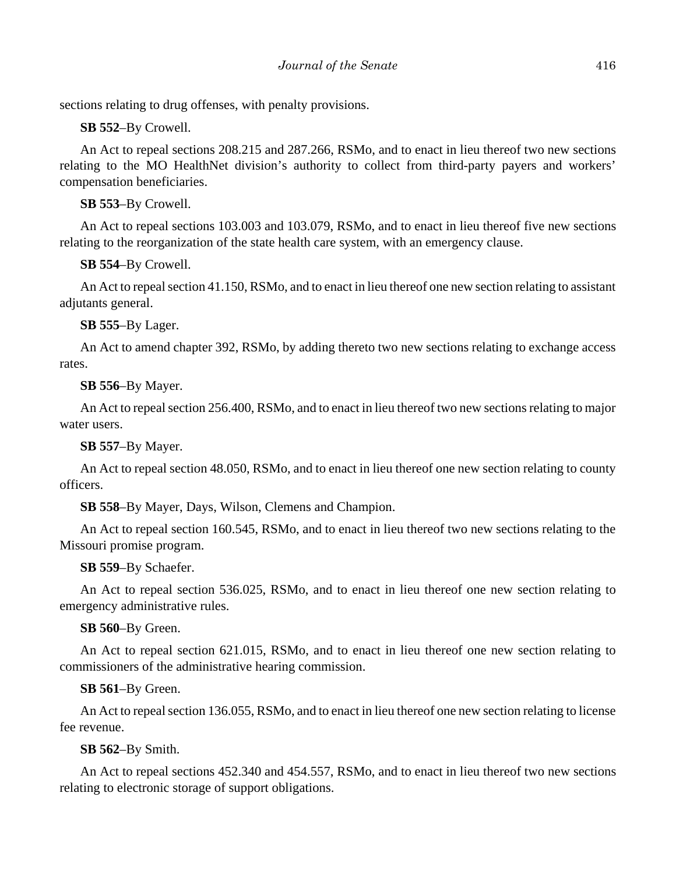sections relating to drug offenses, with penalty provisions.

**SB 552**–By Crowell.

An Act to repeal sections 208.215 and 287.266, RSMo, and to enact in lieu thereof two new sections relating to the MO HealthNet division's authority to collect from third-party payers and workers' compensation beneficiaries.

# **SB 553**–By Crowell.

An Act to repeal sections 103.003 and 103.079, RSMo, and to enact in lieu thereof five new sections relating to the reorganization of the state health care system, with an emergency clause.

**SB 554**–By Crowell.

An Act to repeal section 41.150, RSMo, and to enact in lieu thereof one new section relating to assistant adjutants general.

**SB 555**–By Lager.

An Act to amend chapter 392, RSMo, by adding thereto two new sections relating to exchange access rates.

**SB 556**–By Mayer.

An Act to repeal section 256.400, RSMo, and to enact in lieu thereof two new sections relating to major water users.

**SB 557**–By Mayer.

An Act to repeal section 48.050, RSMo, and to enact in lieu thereof one new section relating to county officers.

**SB 558**–By Mayer, Days, Wilson, Clemens and Champion.

An Act to repeal section 160.545, RSMo, and to enact in lieu thereof two new sections relating to the Missouri promise program.

**SB 559**–By Schaefer.

An Act to repeal section 536.025, RSMo, and to enact in lieu thereof one new section relating to emergency administrative rules.

**SB 560**–By Green.

An Act to repeal section 621.015, RSMo, and to enact in lieu thereof one new section relating to commissioners of the administrative hearing commission.

**SB 561**–By Green.

An Act to repeal section 136.055, RSMo, and to enact in lieu thereof one new section relating to license fee revenue.

**SB 562**–By Smith.

An Act to repeal sections 452.340 and 454.557, RSMo, and to enact in lieu thereof two new sections relating to electronic storage of support obligations.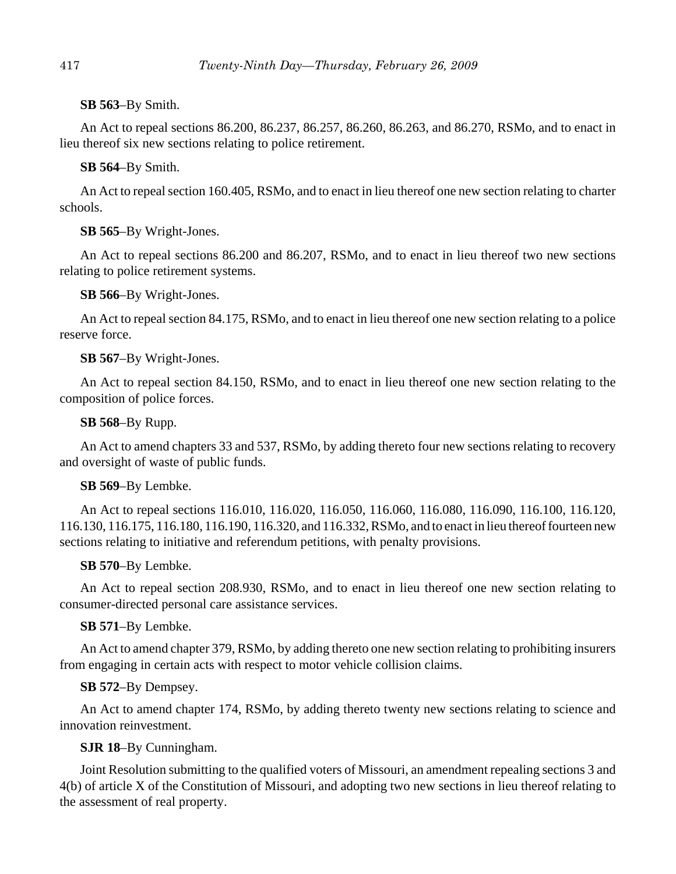# **SB 563**–By Smith.

An Act to repeal sections 86.200, 86.237, 86.257, 86.260, 86.263, and 86.270, RSMo, and to enact in lieu thereof six new sections relating to police retirement.

# **SB 564**–By Smith.

An Act to repeal section 160.405, RSMo, and to enact in lieu thereof one new section relating to charter schools.

# **SB 565**–By Wright-Jones.

An Act to repeal sections 86.200 and 86.207, RSMo, and to enact in lieu thereof two new sections relating to police retirement systems.

# **SB 566**–By Wright-Jones.

An Act to repeal section 84.175, RSMo, and to enact in lieu thereof one new section relating to a police reserve force.

# **SB 567**–By Wright-Jones.

An Act to repeal section 84.150, RSMo, and to enact in lieu thereof one new section relating to the composition of police forces.

# **SB 568**–By Rupp.

An Act to amend chapters 33 and 537, RSMo, by adding thereto four new sections relating to recovery and oversight of waste of public funds.

# **SB 569**–By Lembke.

An Act to repeal sections 116.010, 116.020, 116.050, 116.060, 116.080, 116.090, 116.100, 116.120, 116.130, 116.175, 116.180, 116.190, 116.320, and 116.332, RSMo, and to enact in lieu thereof fourteen new sections relating to initiative and referendum petitions, with penalty provisions.

# **SB 570**–By Lembke.

An Act to repeal section 208.930, RSMo, and to enact in lieu thereof one new section relating to consumer-directed personal care assistance services.

# **SB 571**–By Lembke.

An Act to amend chapter 379, RSMo, by adding thereto one new section relating to prohibiting insurers from engaging in certain acts with respect to motor vehicle collision claims.

# **SB 572**–By Dempsey.

An Act to amend chapter 174, RSMo, by adding thereto twenty new sections relating to science and innovation reinvestment.

# **SJR 18**–By Cunningham.

Joint Resolution submitting to the qualified voters of Missouri, an amendment repealing sections 3 and 4(b) of article X of the Constitution of Missouri, and adopting two new sections in lieu thereof relating to the assessment of real property.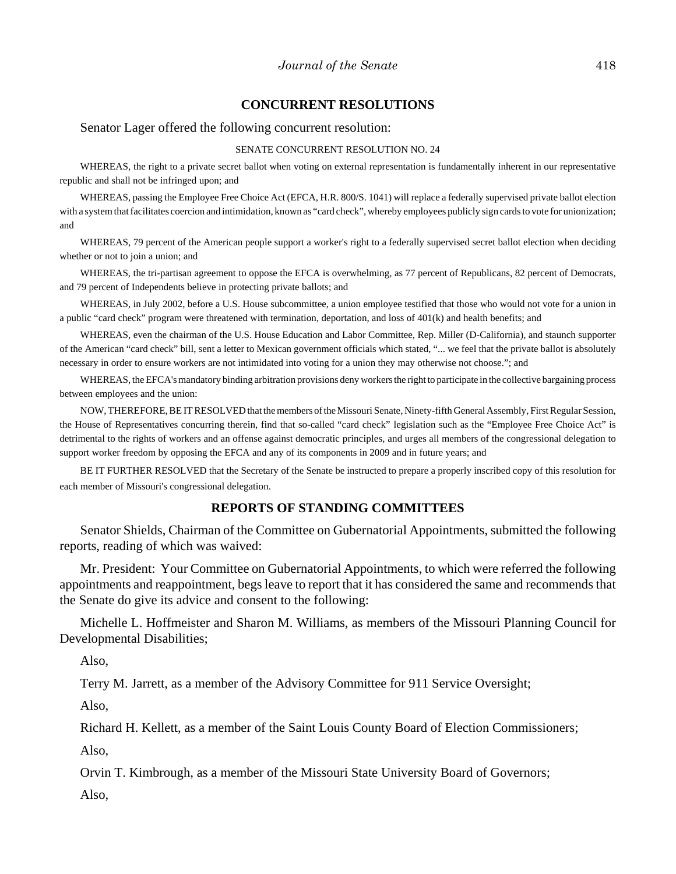#### **CONCURRENT RESOLUTIONS**

Senator Lager offered the following concurrent resolution:

#### SENATE CONCURRENT RESOLUTION NO. 24

WHEREAS, the right to a private secret ballot when voting on external representation is fundamentally inherent in our representative republic and shall not be infringed upon; and

WHEREAS, passing the Employee Free Choice Act (EFCA, H.R. 800/S. 1041) will replace a federally supervised private ballot election with a system that facilitates coercion and intimidation, known as "card check", whereby employees publicly sign cards to vote for unionization; and

WHEREAS, 79 percent of the American people support a worker's right to a federally supervised secret ballot election when deciding whether or not to join a union; and

WHEREAS, the tri-partisan agreement to oppose the EFCA is overwhelming, as 77 percent of Republicans, 82 percent of Democrats, and 79 percent of Independents believe in protecting private ballots; and

WHEREAS, in July 2002, before a U.S. House subcommittee, a union employee testified that those who would not vote for a union in a public "card check" program were threatened with termination, deportation, and loss of 401(k) and health benefits; and

WHEREAS, even the chairman of the U.S. House Education and Labor Committee, Rep. Miller (D-California), and staunch supporter of the American "card check" bill, sent a letter to Mexican government officials which stated, "... we feel that the private ballot is absolutely necessary in order to ensure workers are not intimidated into voting for a union they may otherwise not choose."; and

WHEREAS, the EFCA's mandatory binding arbitration provisions deny workers the right to participate in the collective bargaining process between employees and the union:

NOW, THEREFORE, BE IT RESOLVED that the members of the Missouri Senate, Ninety-fifth General Assembly, First Regular Session, the House of Representatives concurring therein, find that so-called "card check" legislation such as the "Employee Free Choice Act" is detrimental to the rights of workers and an offense against democratic principles, and urges all members of the congressional delegation to support worker freedom by opposing the EFCA and any of its components in 2009 and in future years; and

BE IT FURTHER RESOLVED that the Secretary of the Senate be instructed to prepare a properly inscribed copy of this resolution for each member of Missouri's congressional delegation.

## **REPORTS OF STANDING COMMITTEES**

Senator Shields, Chairman of the Committee on Gubernatorial Appointments, submitted the following reports, reading of which was waived:

Mr. President: Your Committee on Gubernatorial Appointments, to which were referred the following appointments and reappointment, begs leave to report that it has considered the same and recommends that the Senate do give its advice and consent to the following:

Michelle L. Hoffmeister and Sharon M. Williams, as members of the Missouri Planning Council for Developmental Disabilities;

Also,

Terry M. Jarrett, as a member of the Advisory Committee for 911 Service Oversight;

Also,

Richard H. Kellett, as a member of the Saint Louis County Board of Election Commissioners;

Also,

Orvin T. Kimbrough, as a member of the Missouri State University Board of Governors;

Also,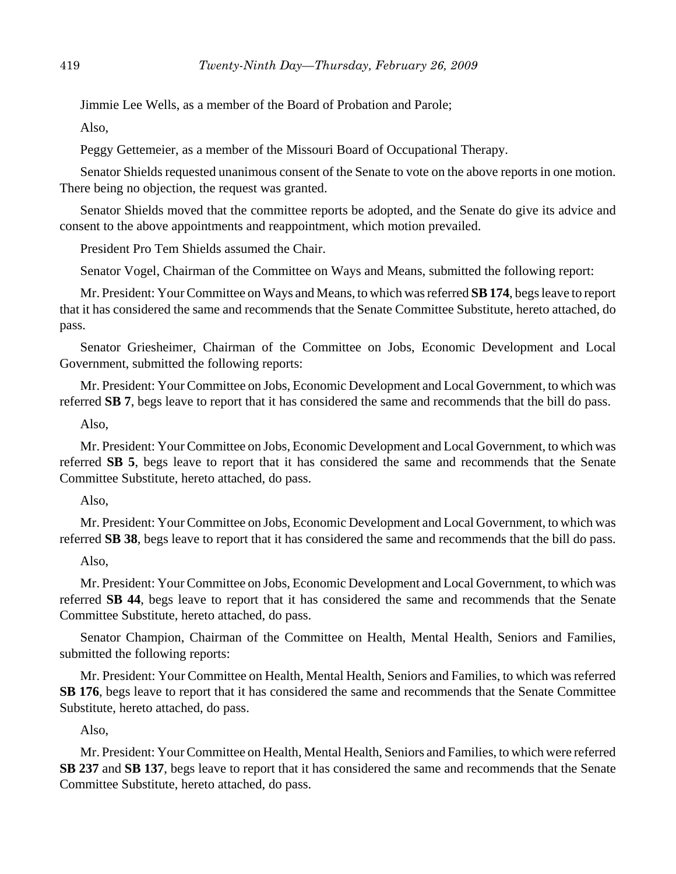Jimmie Lee Wells, as a member of the Board of Probation and Parole;

Also,

Peggy Gettemeier, as a member of the Missouri Board of Occupational Therapy.

Senator Shields requested unanimous consent of the Senate to vote on the above reports in one motion. There being no objection, the request was granted.

Senator Shields moved that the committee reports be adopted, and the Senate do give its advice and consent to the above appointments and reappointment, which motion prevailed.

President Pro Tem Shields assumed the Chair.

Senator Vogel, Chairman of the Committee on Ways and Means, submitted the following report:

Mr. President: Your Committee on Ways and Means, to which was referred **SB 174**, begs leave to report that it has considered the same and recommends that the Senate Committee Substitute, hereto attached, do pass.

Senator Griesheimer, Chairman of the Committee on Jobs, Economic Development and Local Government, submitted the following reports:

Mr. President: Your Committee on Jobs, Economic Development and Local Government, to which was referred **SB 7**, begs leave to report that it has considered the same and recommends that the bill do pass.

# Also,

Mr. President: Your Committee on Jobs, Economic Development and Local Government, to which was referred **SB 5**, begs leave to report that it has considered the same and recommends that the Senate Committee Substitute, hereto attached, do pass.

# Also,

Mr. President: Your Committee on Jobs, Economic Development and Local Government, to which was referred **SB 38**, begs leave to report that it has considered the same and recommends that the bill do pass.

# Also,

Mr. President: Your Committee on Jobs, Economic Development and Local Government, to which was referred **SB 44**, begs leave to report that it has considered the same and recommends that the Senate Committee Substitute, hereto attached, do pass.

Senator Champion, Chairman of the Committee on Health, Mental Health, Seniors and Families, submitted the following reports:

Mr. President: Your Committee on Health, Mental Health, Seniors and Families, to which was referred **SB 176**, begs leave to report that it has considered the same and recommends that the Senate Committee Substitute, hereto attached, do pass.

# Also,

Mr. President: Your Committee on Health, Mental Health, Seniors and Families, to which were referred **SB 237** and **SB 137**, begs leave to report that it has considered the same and recommends that the Senate Committee Substitute, hereto attached, do pass.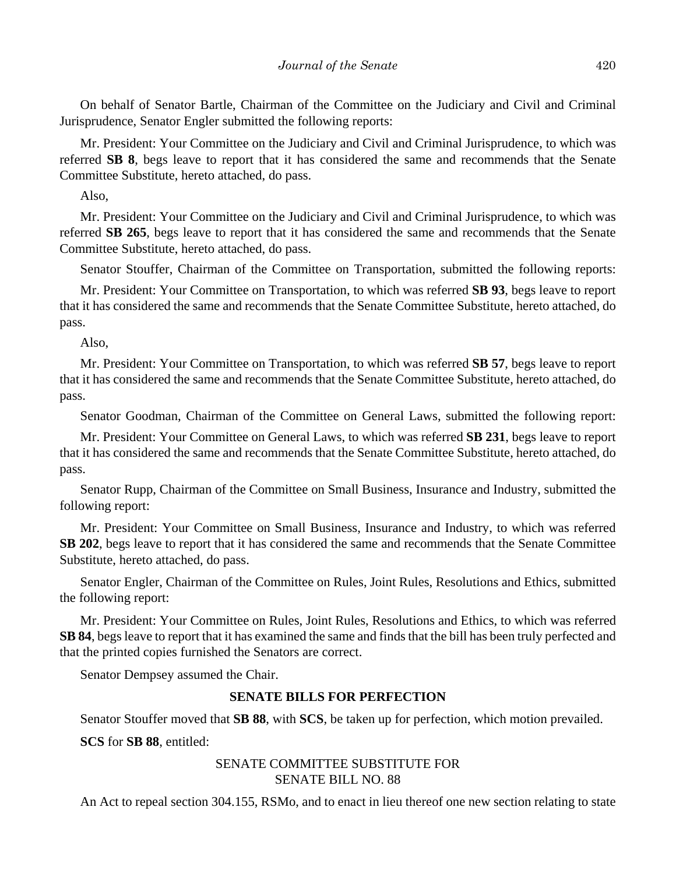On behalf of Senator Bartle, Chairman of the Committee on the Judiciary and Civil and Criminal Jurisprudence, Senator Engler submitted the following reports:

Mr. President: Your Committee on the Judiciary and Civil and Criminal Jurisprudence, to which was referred **SB 8**, begs leave to report that it has considered the same and recommends that the Senate Committee Substitute, hereto attached, do pass.

Also,

Mr. President: Your Committee on the Judiciary and Civil and Criminal Jurisprudence, to which was referred **SB 265**, begs leave to report that it has considered the same and recommends that the Senate Committee Substitute, hereto attached, do pass.

Senator Stouffer, Chairman of the Committee on Transportation, submitted the following reports:

Mr. President: Your Committee on Transportation, to which was referred **SB 93**, begs leave to report that it has considered the same and recommends that the Senate Committee Substitute, hereto attached, do pass.

Also,

Mr. President: Your Committee on Transportation, to which was referred **SB 57**, begs leave to report that it has considered the same and recommends that the Senate Committee Substitute, hereto attached, do pass.

Senator Goodman, Chairman of the Committee on General Laws, submitted the following report:

Mr. President: Your Committee on General Laws, to which was referred **SB 231**, begs leave to report that it has considered the same and recommends that the Senate Committee Substitute, hereto attached, do pass.

Senator Rupp, Chairman of the Committee on Small Business, Insurance and Industry, submitted the following report:

Mr. President: Your Committee on Small Business, Insurance and Industry, to which was referred **SB 202**, begs leave to report that it has considered the same and recommends that the Senate Committee Substitute, hereto attached, do pass.

Senator Engler, Chairman of the Committee on Rules, Joint Rules, Resolutions and Ethics, submitted the following report:

Mr. President: Your Committee on Rules, Joint Rules, Resolutions and Ethics, to which was referred **SB 84**, begs leave to report that it has examined the same and finds that the bill has been truly perfected and that the printed copies furnished the Senators are correct.

Senator Dempsey assumed the Chair.

## **SENATE BILLS FOR PERFECTION**

Senator Stouffer moved that **SB 88**, with **SCS**, be taken up for perfection, which motion prevailed.

**SCS** for **SB 88**, entitled:

# SENATE COMMITTEE SUBSTITUTE FOR SENATE BILL NO. 88

An Act to repeal section 304.155, RSMo, and to enact in lieu thereof one new section relating to state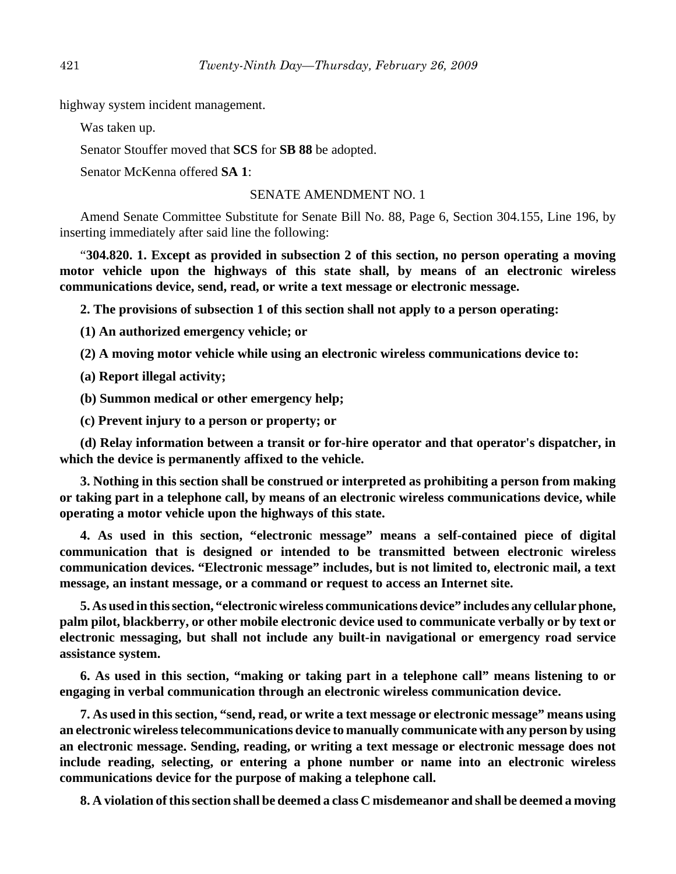highway system incident management.

Was taken up.

Senator Stouffer moved that **SCS** for **SB 88** be adopted.

Senator McKenna offered **SA 1**:

## SENATE AMENDMENT NO. 1

Amend Senate Committee Substitute for Senate Bill No. 88, Page 6, Section 304.155, Line 196, by inserting immediately after said line the following:

"**304.820. 1. Except as provided in subsection 2 of this section, no person operating a moving motor vehicle upon the highways of this state shall, by means of an electronic wireless communications device, send, read, or write a text message or electronic message.**

**2. The provisions of subsection 1 of this section shall not apply to a person operating:**

**(1) An authorized emergency vehicle; or**

**(2) A moving motor vehicle while using an electronic wireless communications device to:**

**(a) Report illegal activity;**

**(b) Summon medical or other emergency help;**

**(c) Prevent injury to a person or property; or**

**(d) Relay information between a transit or for-hire operator and that operator's dispatcher, in which the device is permanently affixed to the vehicle.**

**3. Nothing in this section shall be construed or interpreted as prohibiting a person from making or taking part in a telephone call, by means of an electronic wireless communications device, while operating a motor vehicle upon the highways of this state.**

**4. As used in this section, "electronic message" means a self-contained piece of digital communication that is designed or intended to be transmitted between electronic wireless communication devices. "Electronic message" includes, but is not limited to, electronic mail, a text message, an instant message, or a command or request to access an Internet site.**

**5. As used in this section, "electronic wireless communications device" includes any cellular phone, palm pilot, blackberry, or other mobile electronic device used to communicate verbally or by text or electronic messaging, but shall not include any built-in navigational or emergency road service assistance system.**

**6. As used in this section, "making or taking part in a telephone call" means listening to or engaging in verbal communication through an electronic wireless communication device.**

**7. As used in this section, "send, read, or write a text message or electronic message" means using an electronic wireless telecommunications device to manually communicate with any person by using an electronic message. Sending, reading, or writing a text message or electronic message does not include reading, selecting, or entering a phone number or name into an electronic wireless communications device for the purpose of making a telephone call.**

**8. A violation of this section shall be deemed a class C misdemeanor and shall be deemed a moving**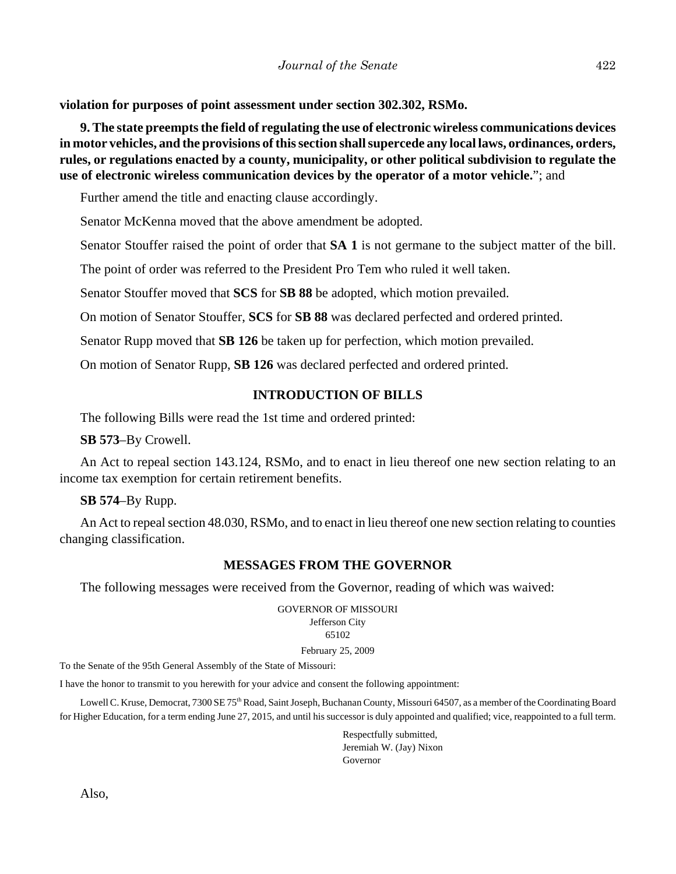**violation for purposes of point assessment under section 302.302, RSMo.**

**9. The state preempts the field of regulating the use of electronic wireless communications devices in motor vehicles, and the provisions of this section shall supercede any local laws, ordinances, orders, rules, or regulations enacted by a county, municipality, or other political subdivision to regulate the use of electronic wireless communication devices by the operator of a motor vehicle.**"; and

Further amend the title and enacting clause accordingly.

Senator McKenna moved that the above amendment be adopted.

Senator Stouffer raised the point of order that **SA 1** is not germane to the subject matter of the bill.

The point of order was referred to the President Pro Tem who ruled it well taken.

Senator Stouffer moved that **SCS** for **SB 88** be adopted, which motion prevailed.

On motion of Senator Stouffer, **SCS** for **SB 88** was declared perfected and ordered printed.

Senator Rupp moved that **SB 126** be taken up for perfection, which motion prevailed.

On motion of Senator Rupp, **SB 126** was declared perfected and ordered printed.

# **INTRODUCTION OF BILLS**

The following Bills were read the 1st time and ordered printed:

**SB 573**–By Crowell.

An Act to repeal section 143.124, RSMo, and to enact in lieu thereof one new section relating to an income tax exemption for certain retirement benefits.

**SB 574**–By Rupp.

An Act to repeal section 48.030, RSMo, and to enact in lieu thereof one new section relating to counties changing classification.

# **MESSAGES FROM THE GOVERNOR**

The following messages were received from the Governor, reading of which was waived:

GOVERNOR OF MISSOURI Jefferson City 65102 February 25, 2009

To the Senate of the 95th General Assembly of the State of Missouri:

I have the honor to transmit to you herewith for your advice and consent the following appointment:

Lowell C. Kruse, Democrat, 7300 SE 75<sup>th</sup> Road, Saint Joseph, Buchanan County, Missouri 64507, as a member of the Coordinating Board for Higher Education, for a term ending June 27, 2015, and until his successor is duly appointed and qualified; vice, reappointed to a full term.

> Respectfully submitted, Jeremiah W. (Jay) Nixon Governor

Also,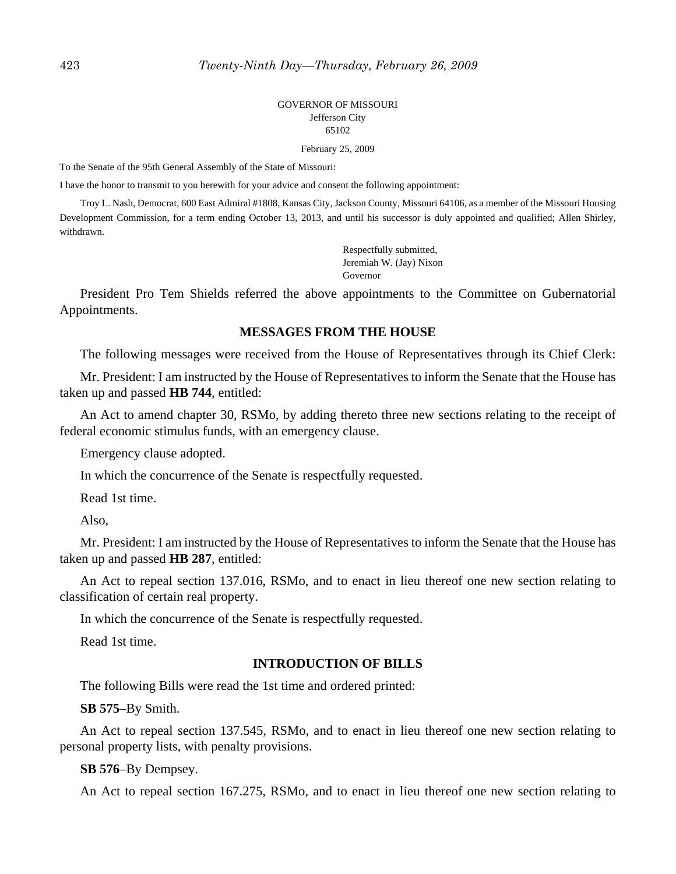#### GOVERNOR OF MISSOURI Jefferson City 65102

February 25, 2009

To the Senate of the 95th General Assembly of the State of Missouri:

I have the honor to transmit to you herewith for your advice and consent the following appointment:

Troy L. Nash, Democrat, 600 East Admiral #1808, Kansas City, Jackson County, Missouri 64106, as a member of the Missouri Housing Development Commission, for a term ending October 13, 2013, and until his successor is duly appointed and qualified; Allen Shirley, withdrawn.

> Respectfully submitted, Jeremiah W. (Jay) Nixon Governor

President Pro Tem Shields referred the above appointments to the Committee on Gubernatorial Appointments.

#### **MESSAGES FROM THE HOUSE**

The following messages were received from the House of Representatives through its Chief Clerk:

Mr. President: I am instructed by the House of Representatives to inform the Senate that the House has taken up and passed **HB 744**, entitled:

An Act to amend chapter 30, RSMo, by adding thereto three new sections relating to the receipt of federal economic stimulus funds, with an emergency clause.

Emergency clause adopted.

In which the concurrence of the Senate is respectfully requested.

Read 1st time.

Also,

Mr. President: I am instructed by the House of Representatives to inform the Senate that the House has taken up and passed **HB 287**, entitled:

An Act to repeal section 137.016, RSMo, and to enact in lieu thereof one new section relating to classification of certain real property.

In which the concurrence of the Senate is respectfully requested.

Read 1st time.

## **INTRODUCTION OF BILLS**

The following Bills were read the 1st time and ordered printed:

#### **SB 575**–By Smith.

An Act to repeal section 137.545, RSMo, and to enact in lieu thereof one new section relating to personal property lists, with penalty provisions.

**SB 576**–By Dempsey.

An Act to repeal section 167.275, RSMo, and to enact in lieu thereof one new section relating to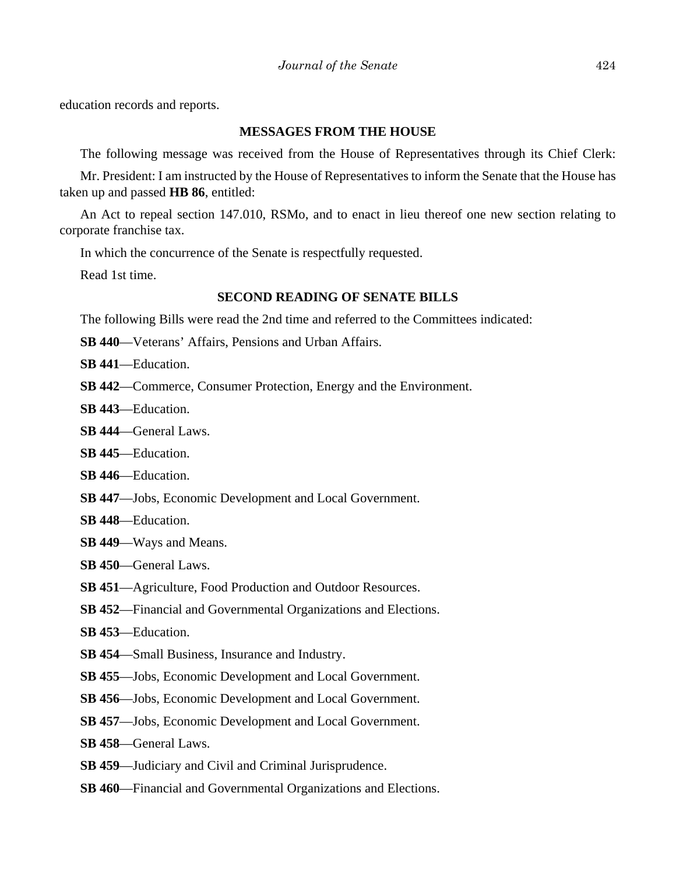education records and reports.

#### **MESSAGES FROM THE HOUSE**

The following message was received from the House of Representatives through its Chief Clerk:

Mr. President: I am instructed by the House of Representatives to inform the Senate that the House has taken up and passed **HB 86**, entitled:

An Act to repeal section 147.010, RSMo, and to enact in lieu thereof one new section relating to corporate franchise tax.

In which the concurrence of the Senate is respectfully requested.

Read 1st time.

## **SECOND READING OF SENATE BILLS**

The following Bills were read the 2nd time and referred to the Committees indicated:

**SB 440**—Veterans' Affairs, Pensions and Urban Affairs.

**SB 441**—Education.

**SB 442**—Commerce, Consumer Protection, Energy and the Environment.

- **SB 443**—Education.
- **SB 444**—General Laws.
- **SB 445**—Education.

**SB 446**—Education.

- **SB 447**—Jobs, Economic Development and Local Government.
- **SB 448**—Education.
- **SB 449**—Ways and Means.
- **SB 450**—General Laws.
- **SB 451**—Agriculture, Food Production and Outdoor Resources.
- **SB 452**—Financial and Governmental Organizations and Elections.
- **SB 453**—Education.
- **SB 454**—Small Business, Insurance and Industry.
- **SB 455**—Jobs, Economic Development and Local Government.
- **SB 456**—Jobs, Economic Development and Local Government.
- **SB 457**—Jobs, Economic Development and Local Government.
- **SB 458**—General Laws.
- **SB 459**—Judiciary and Civil and Criminal Jurisprudence.
- **SB 460**—Financial and Governmental Organizations and Elections.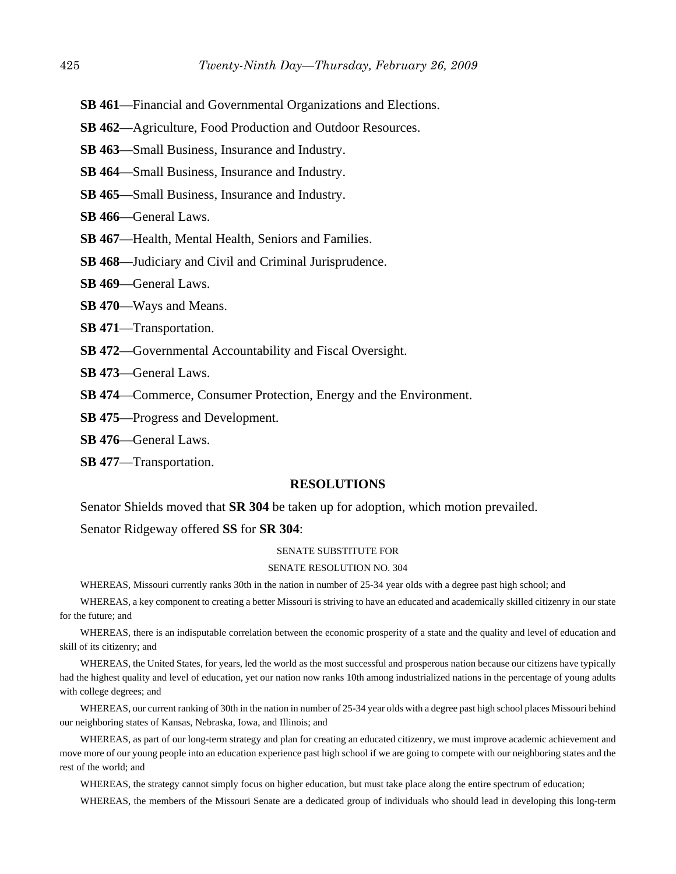- **SB 461**—Financial and Governmental Organizations and Elections.
- **SB 462**—Agriculture, Food Production and Outdoor Resources.
- **SB 463**—Small Business, Insurance and Industry.
- **SB 464**—Small Business, Insurance and Industry.
- **SB 465**—Small Business, Insurance and Industry.
- **SB 466**—General Laws.
- **SB 467**—Health, Mental Health, Seniors and Families.
- **SB 468**—Judiciary and Civil and Criminal Jurisprudence.
- **SB 469**—General Laws.
- **SB 470**—Ways and Means.
- **SB 471**—Transportation.
- **SB 472**—Governmental Accountability and Fiscal Oversight.
- **SB 473**—General Laws.
- **SB 474**—Commerce, Consumer Protection, Energy and the Environment.
- **SB 475**—Progress and Development.
- **SB 476**—General Laws.
- **SB 477**—Transportation.

#### **RESOLUTIONS**

Senator Shields moved that **SR 304** be taken up for adoption, which motion prevailed.

Senator Ridgeway offered **SS** for **SR 304**:

#### SENATE SUBSTITUTE FOR

#### SENATE RESOLUTION NO. 304

WHEREAS, Missouri currently ranks 30th in the nation in number of 25-34 year olds with a degree past high school; and

WHEREAS, a key component to creating a better Missouri is striving to have an educated and academically skilled citizenry in our state for the future; and

WHEREAS, there is an indisputable correlation between the economic prosperity of a state and the quality and level of education and skill of its citizenry; and

WHEREAS, the United States, for years, led the world as the most successful and prosperous nation because our citizens have typically had the highest quality and level of education, yet our nation now ranks 10th among industrialized nations in the percentage of young adults with college degrees; and

WHEREAS, our current ranking of 30th in the nation in number of 25-34 year olds with a degree past high school places Missouri behind our neighboring states of Kansas, Nebraska, Iowa, and Illinois; and

WHEREAS, as part of our long-term strategy and plan for creating an educated citizenry, we must improve academic achievement and move more of our young people into an education experience past high school if we are going to compete with our neighboring states and the rest of the world; and

WHEREAS, the strategy cannot simply focus on higher education, but must take place along the entire spectrum of education;

WHEREAS, the members of the Missouri Senate are a dedicated group of individuals who should lead in developing this long-term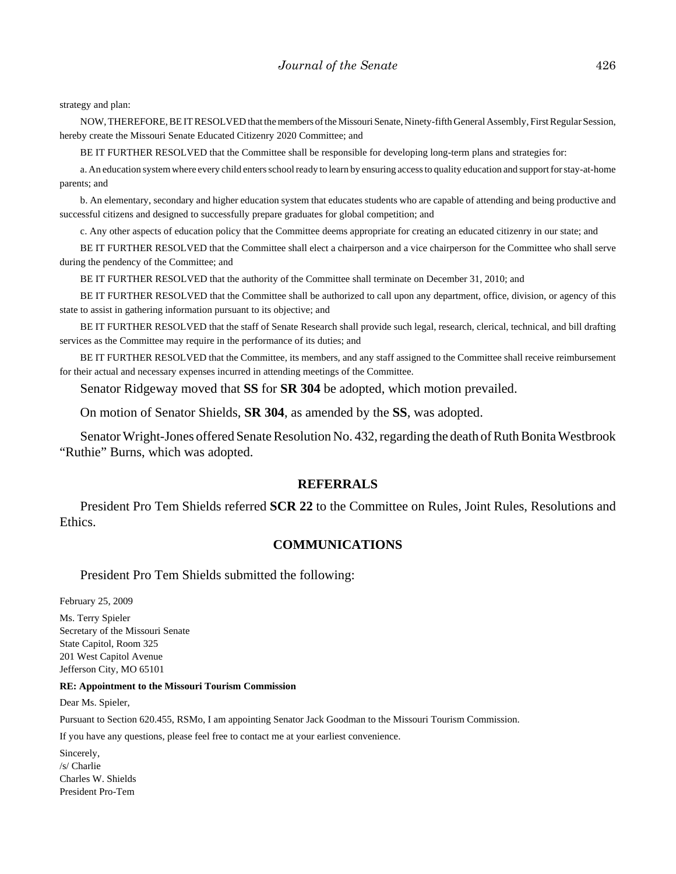strategy and plan:

NOW, THEREFORE, BE IT RESOLVED that the members of the Missouri Senate, Ninety-fifth General Assembly, First Regular Session, hereby create the Missouri Senate Educated Citizenry 2020 Committee; and

BE IT FURTHER RESOLVED that the Committee shall be responsible for developing long-term plans and strategies for:

a. An education system where every child enters school ready to learn by ensuring access to quality education and support for stay-at-home parents; and

b. An elementary, secondary and higher education system that educates students who are capable of attending and being productive and successful citizens and designed to successfully prepare graduates for global competition; and

c. Any other aspects of education policy that the Committee deems appropriate for creating an educated citizenry in our state; and

BE IT FURTHER RESOLVED that the Committee shall elect a chairperson and a vice chairperson for the Committee who shall serve during the pendency of the Committee; and

BE IT FURTHER RESOLVED that the authority of the Committee shall terminate on December 31, 2010; and

BE IT FURTHER RESOLVED that the Committee shall be authorized to call upon any department, office, division, or agency of this state to assist in gathering information pursuant to its objective; and

BE IT FURTHER RESOLVED that the staff of Senate Research shall provide such legal, research, clerical, technical, and bill drafting services as the Committee may require in the performance of its duties; and

BE IT FURTHER RESOLVED that the Committee, its members, and any staff assigned to the Committee shall receive reimbursement for their actual and necessary expenses incurred in attending meetings of the Committee.

Senator Ridgeway moved that **SS** for **SR 304** be adopted, which motion prevailed.

On motion of Senator Shields, **SR 304**, as amended by the **SS**, was adopted.

Senator Wright-Jones offered Senate Resolution No. 432, regarding the death of Ruth Bonita Westbrook "Ruthie" Burns, which was adopted.

#### **REFERRALS**

President Pro Tem Shields referred **SCR 22** to the Committee on Rules, Joint Rules, Resolutions and Ethics.

#### **COMMUNICATIONS**

President Pro Tem Shields submitted the following:

February 25, 2009 Ms. Terry Spieler Secretary of the Missouri Senate State Capitol, Room 325 201 West Capitol Avenue Jefferson City, MO 65101

#### **RE: Appointment to the Missouri Tourism Commission**

Dear Ms. Spieler,

Pursuant to Section 620.455, RSMo, I am appointing Senator Jack Goodman to the Missouri Tourism Commission.

If you have any questions, please feel free to contact me at your earliest convenience.

Sincerely, /s/ Charlie Charles W. Shields President Pro-Tem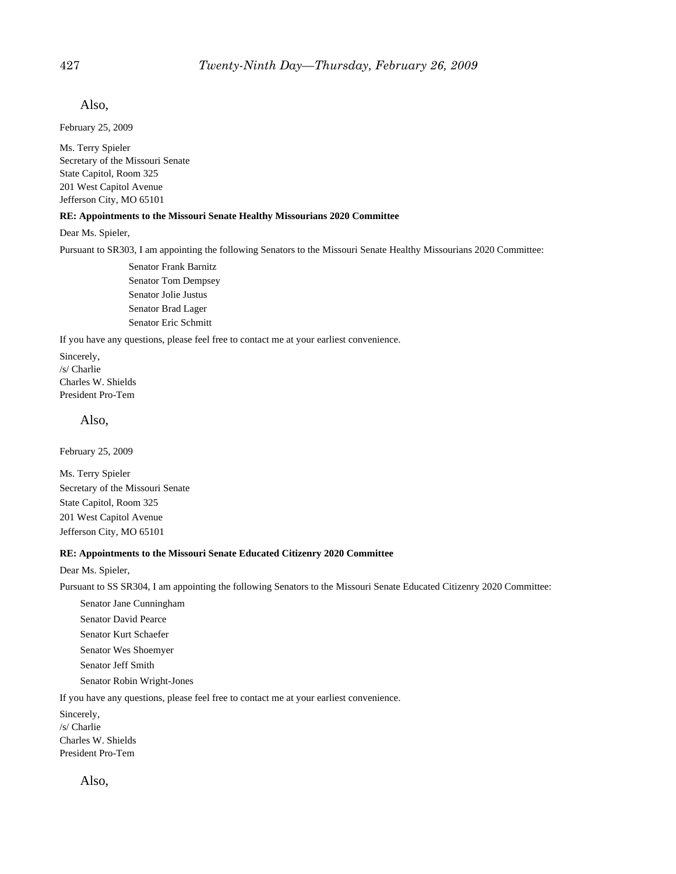Also,

February 25, 2009

Ms. Terry Spieler Secretary of the Missouri Senate State Capitol, Room 325 201 West Capitol Avenue Jefferson City, MO 65101

#### **RE: Appointments to the Missouri Senate Healthy Missourians 2020 Committee**

Dear Ms. Spieler,

Pursuant to SR303, I am appointing the following Senators to the Missouri Senate Healthy Missourians 2020 Committee:

Senator Frank Barnitz Senator Tom Dempsey Senator Jolie Justus Senator Brad Lager Senator Eric Schmitt

If you have any questions, please feel free to contact me at your earliest convenience.

Sincerely, /s/ Charlie Charles W. Shields President Pro-Tem

Also,

February 25, 2009

Ms. Terry Spieler Secretary of the Missouri Senate State Capitol, Room 325 201 West Capitol Avenue Jefferson City, MO 65101

#### **RE: Appointments to the Missouri Senate Educated Citizenry 2020 Committee**

Dear Ms. Spieler,

Pursuant to SS SR304, I am appointing the following Senators to the Missouri Senate Educated Citizenry 2020 Committee:

Senator Jane Cunningham Senator David Pearce Senator Kurt Schaefer Senator Wes Shoemyer Senator Jeff Smith Senator Robin Wright-Jones

If you have any questions, please feel free to contact me at your earliest convenience.

Sincerely, /s/ Charlie Charles W. Shields President Pro-Tem

Also,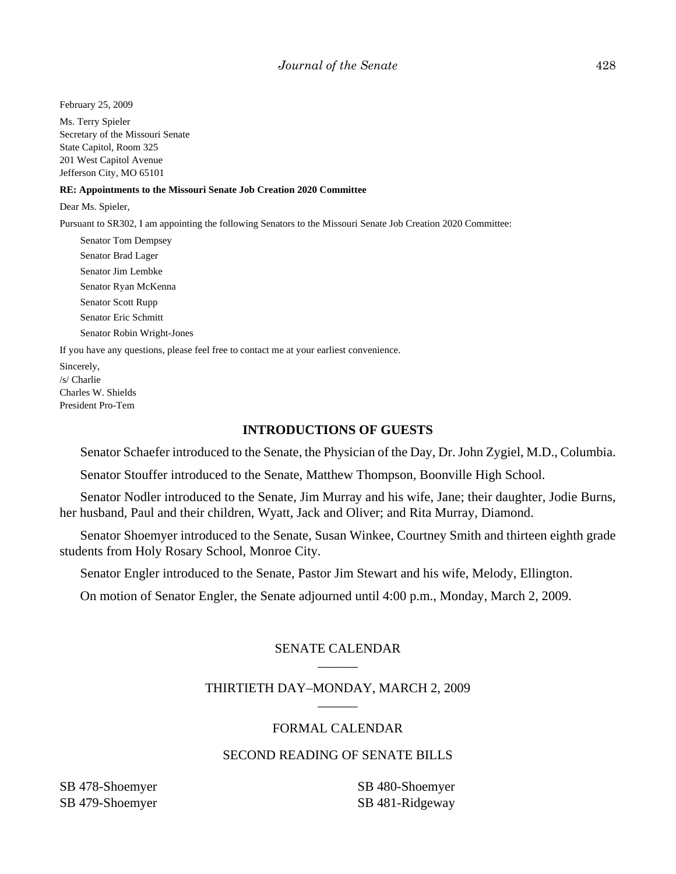February 25, 2009

Ms. Terry Spieler Secretary of the Missouri Senate State Capitol, Room 325 201 West Capitol Avenue Jefferson City, MO 65101

#### **RE: Appointments to the Missouri Senate Job Creation 2020 Committee**

Dear Ms. Spieler,

Pursuant to SR302, I am appointing the following Senators to the Missouri Senate Job Creation 2020 Committee:

Senator Tom Dempsey Senator Brad Lager Senator Jim Lembke Senator Ryan McKenna Senator Scott Rupp Senator Eric Schmitt Senator Robin Wright-Jones

If you have any questions, please feel free to contact me at your earliest convenience.

Sincerely, /s/ Charlie Charles W. Shields President Pro-Tem

#### **INTRODUCTIONS OF GUESTS**

Senator Schaefer introduced to the Senate, the Physician of the Day, Dr. John Zygiel, M.D., Columbia.

Senator Stouffer introduced to the Senate, Matthew Thompson, Boonville High School.

Senator Nodler introduced to the Senate, Jim Murray and his wife, Jane; their daughter, Jodie Burns, her husband, Paul and their children, Wyatt, Jack and Oliver; and Rita Murray, Diamond.

Senator Shoemyer introduced to the Senate, Susan Winkee, Courtney Smith and thirteen eighth grade students from Holy Rosary School, Monroe City.

Senator Engler introduced to the Senate, Pastor Jim Stewart and his wife, Melody, Ellington.

On motion of Senator Engler, the Senate adjourned until 4:00 p.m., Monday, March 2, 2009.

#### SENATE CALENDAR \_\_\_\_\_\_

#### THIRTIETH DAY–MONDAY, MARCH 2, 2009 \_\_\_\_\_\_

## FORMAL CALENDAR

# SECOND READING OF SENATE BILLS

SB 478-Shoemyer SB 479-Shoemyer SB 480-Shoemyer SB 481-Ridgeway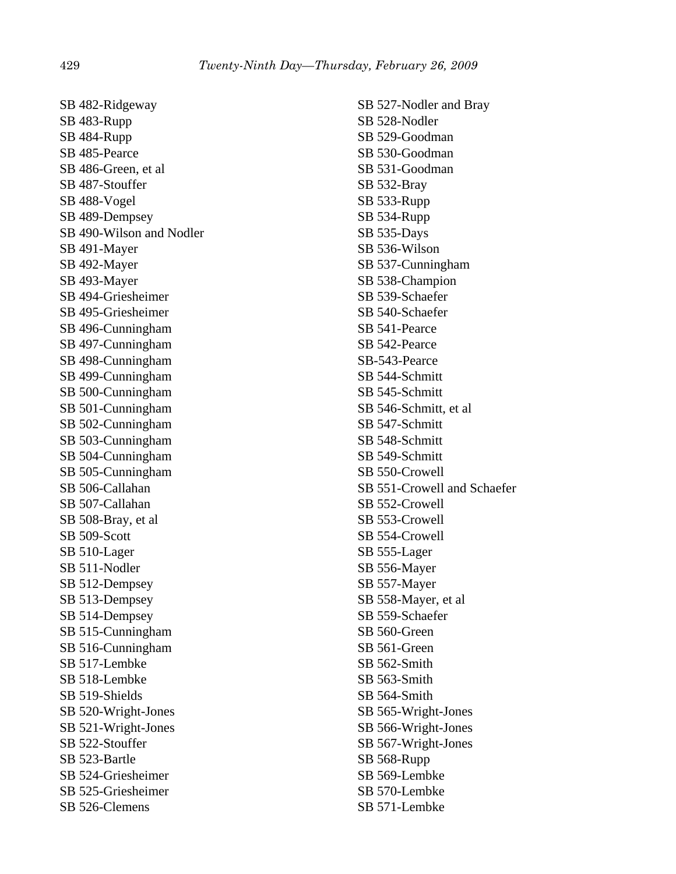SB 482-Ridgeway SB 483-Rupp SB 484-Rupp SB 485-Pearce SB 486-Green, et al SB 487-Stouffer SB 488-Vogel SB 489-Dempsey SB 490-Wilson and Nodler SB 491-Mayer SB 492-Mayer SB 493-Mayer SB 494-Griesheimer SB 495-Griesheimer SB 496-Cunningham SB 497-Cunningham SB 498-Cunningham SB 499-Cunningham SB 500-Cunningham SB 501-Cunningham SB 502-Cunningham SB 503-Cunningham SB 504-Cunningham SB 505-Cunningham SB 506-Callahan SB 507-Callahan SB 508-Bray, et al SB 509-Scott SB 510-Lager SB 511-Nodler SB 512-Dempsey SB 513-Dempsey SB 514-Dempsey SB 515-Cunningham SB 516-Cunningham SB 517-Lembke SB 518-Lembke SB 519-Shields SB 520-Wright-Jones SB 521-Wright-Jones SB 522-Stouffer SB 523-Bartle SB 524-Griesheimer SB 525-Griesheimer SB 526-Clemens

SB 527-Nodler and Bray SB 528-Nodler SB 529-Goodman SB 530-Goodman SB 531-Goodman SB 532-Bray SB 533-Rupp SB 534-Rupp SB 535-Days SB 536-Wilson SB 537-Cunningham SB 538-Champion SB 539-Schaefer SB 540-Schaefer SB 541-Pearce SB 542-Pearce SB-543-Pearce SB 544-Schmitt SB 545-Schmitt SB 546-Schmitt, et al SB 547-Schmitt SB 548-Schmitt SB 549-Schmitt SB 550-Crowell SB 551-Crowell and Schaefer SB 552-Crowell SB 553-Crowell SB 554-Crowell SB 555-Lager SB 556-Mayer SB 557-Mayer SB 558-Mayer, et al SB 559-Schaefer SB 560-Green SB 561-Green SB 562-Smith SB 563-Smith SB 564-Smith SB 565-Wright-Jones SB 566-Wright-Jones SB 567-Wright-Jones SB 568-Rupp SB 569-Lembke SB 570-Lembke SB 571-Lembke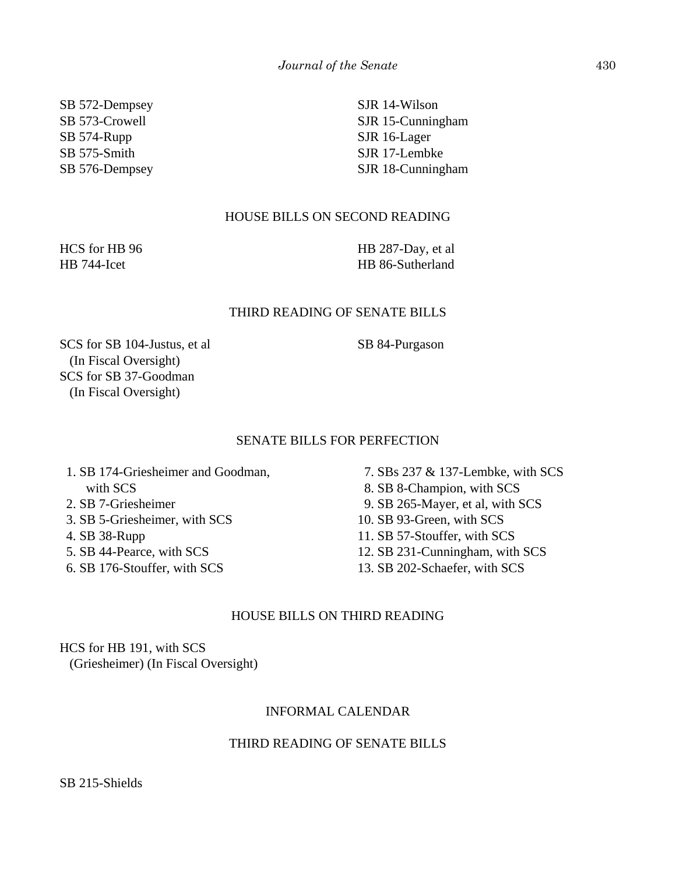SB 572-Dempsey SB 573-Crowell SB 574-Rupp SB 575-Smith SB 576-Dempsey

SJR 14-Wilson SJR 15-Cunningham SJR 16-Lager SJR 17-Lembke SJR 18-Cunningham

# HOUSE BILLS ON SECOND READING

HCS for HB 96 HB 744-Icet

HB 287-Day, et al HB 86-Sutherland

## THIRD READING OF SENATE BILLS

SB 84-Purgason

SCS for SB 104-Justus, et al (In Fiscal Oversight) SCS for SB 37-Goodman (In Fiscal Oversight)

# SENATE BILLS FOR PERFECTION

 1. SB 174-Griesheimer and Goodman, with SCS 2. SB 7-Griesheimer 3. SB 5-Griesheimer, with SCS

- 4. SB 38-Rupp
- 5. SB 44-Pearce, with SCS
- 6. SB 176-Stouffer, with SCS
- 7. SBs 237 & 137-Lembke, with SCS 8. SB 8-Champion, with SCS 9. SB 265-Mayer, et al, with SCS 10. SB 93-Green, with SCS 11. SB 57-Stouffer, with SCS
- 12. SB 231-Cunningham, with SCS
- 13. SB 202-Schaefer, with SCS

## HOUSE BILLS ON THIRD READING

HCS for HB 191, with SCS (Griesheimer) (In Fiscal Oversight)

## INFORMAL CALENDAR

## THIRD READING OF SENATE BILLS

SB 215-Shields